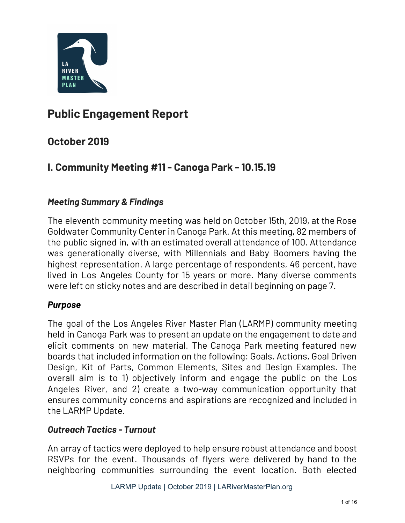

#### **Public Engagement Report**

#### **October 2019**

#### **I. Community Meeting #11 - Canoga Park - 10.15.19**

#### *Meeting Summary & Findings*

The eleventh community meeting was held on October 15th, 2019, at the Rose Goldwater Community Center in Canoga Park. At this meeting, 82 members of the public signed in, with an estimated overall attendance of 100. Attendance was generationally diverse, with Millennials and Baby Boomers having the highest representation. A large percentage of respondents, 46 percent, have lived in Los Angeles County for 15 years or more. Many diverse comments were left on sticky notes and are described in detail beginning on page 7.

#### *Purpose*

The goal of the Los Angeles River Master Plan (LARMP) community meeting held in Canoga Park was to present an update on the engagement to date and elicit comments on new material. The Canoga Park meeting featured new boards that included information on the following: Goals, Actions, Goal Driven Design, Kit of Parts, Common Elements, Sites and Design Examples. The overall aim is to 1) objectively inform and engage the public on the Los Angeles River, and 2) create a two-way communication opportunity that ensures community concerns and aspirations are recognized and included in the LARMP Update.

#### *Outreach Tactics - Turnout*

An array of tactics were deployed to help ensure robust attendance and boost RSVPs for the event. Thousands of flyers were delivered by hand to the neighboring communities surrounding the event location. Both elected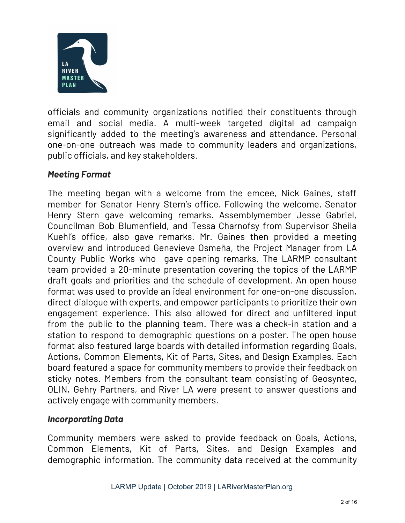

officials and community organizations notified their constituents through email and social media. A multi-week targeted digital ad campaign significantly added to the meeting's awareness and attendance. Personal one-on-one outreach was made to community leaders and organizations, public officials, and key stakeholders.

#### *Meeting Format*

The meeting began with a welcome from the emcee, Nick Gaines, staff member for Senator Henry Stern's office. Following the welcome, Senator Henry Stern gave welcoming remarks. Assemblymember Jesse Gabriel, Councilman Bob Blumenfield, and Tessa Charnofsy from Supervisor Sheila Kuehl's office, also gave remarks. Mr. Gaines then provided a meeting overview and introduced Genevieve Osmeña, the Project Manager from LA County Public Works who gave opening remarks. The LARMP consultant team provided a 20-minute presentation covering the topics of the LARMP draft goals and priorities and the schedule of development. An open house format was used to provide an ideal environment for one-on-one discussion, direct dialogue with experts, and empower participants to prioritize their own engagement experience. This also allowed for direct and unfiltered input from the public to the planning team. There was a check-in station and a station to respond to demographic questions on a poster. The open house format also featured large boards with detailed information regarding Goals, Actions, Common Elements, Kit of Parts, Sites, and Design Examples. Each board featured a space for community members to provide their feedback on sticky notes. Members from the consultant team consisting of Geosyntec, OLIN, Gehry Partners, and River LA were present to answer questions and actively engage with community members.

#### *Incorporating Data*

Community members were asked to provide feedback on Goals, Actions, Common Elements, Kit of Parts, Sites, and Design Examples and demographic information. The community data received at the community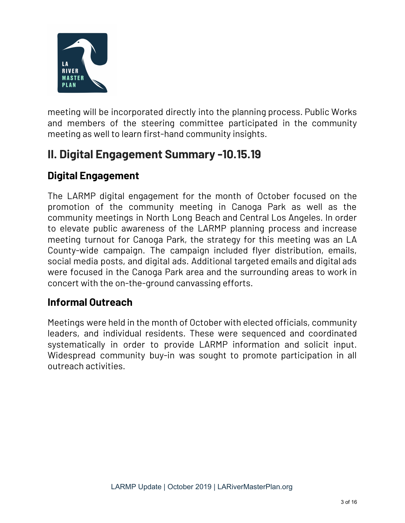

meeting will be incorporated directly into the planning process. Public Works and members of the steering committee participated in the community meeting as well to learn first-hand community insights.

#### **II. Digital Engagement Summary -10.15.19**

#### **Digital Engagement**

The LARMP digital engagement for the month of October focused on the promotion of the community meeting in Canoga Park as well as the community meetings in North Long Beach and Central Los Angeles. In order to elevate public awareness of the LARMP planning process and increase meeting turnout for Canoga Park, the strategy for this meeting was an LA County-wide campaign. The campaign included flyer distribution, emails, social media posts, and digital ads. Additional targeted emails and digital ads were focused in the Canoga Park area and the surrounding areas to work in concert with the on-the-ground canvassing efforts.

#### **Informal Outreach**

Meetings were held in the month of October with elected officials, community leaders, and individual residents. These were sequenced and coordinated systematically in order to provide LARMP information and solicit input. Widespread community buy-in was sought to promote participation in all outreach activities.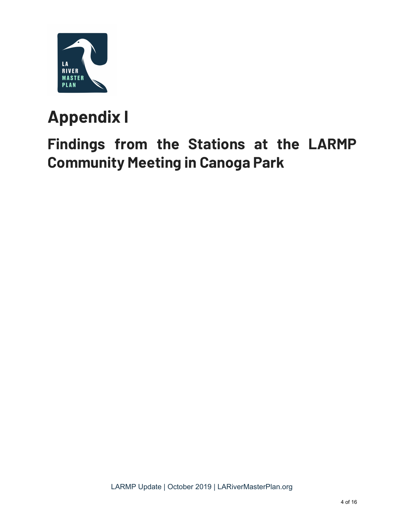

# **Appendix I**

## **Findings from the Stations at the LARMP Community Meeting in Canoga Park**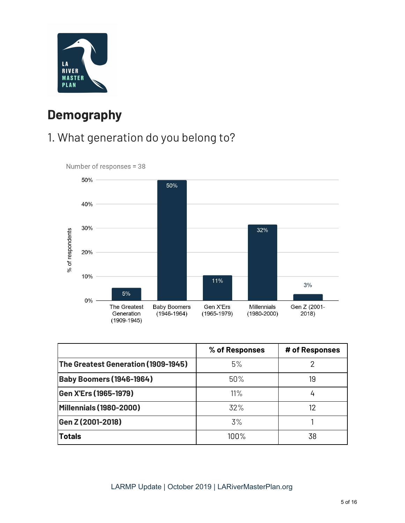

### **Demography**

#### 1. What generation do you belong to?



|                                     | % of Responses | # of Responses |
|-------------------------------------|----------------|----------------|
| The Greatest Generation (1909-1945) | 5%             |                |
| <b>Baby Boomers (1946-1964)</b>     | $50\%$         | 19             |
| Gen X'Ers (1965-1979)               | 11%            | 4              |
| Millennials (1980-2000)             | 32%            | 12             |
| Gen Z (2001-2018)                   | 3%             |                |
| <b>Totals</b>                       | 100%           | 38             |

#### LARMP Update | October 2019 | LARiverMasterPlan.org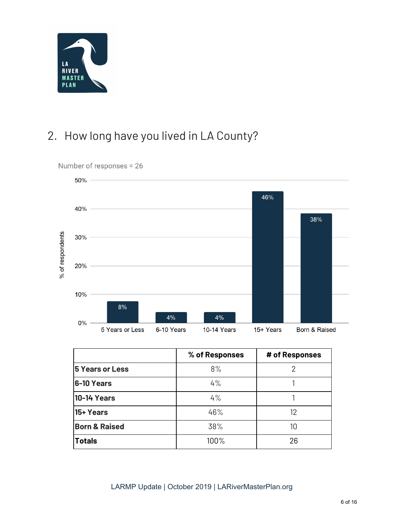

#### 2. How long have you lived in LA County?



Number of responses = 26

|                          | % of Responses | # of Responses |
|--------------------------|----------------|----------------|
| <b>5 Years or Less</b>   | 8%             |                |
| 6-10 Years               | 4%             |                |
| <b>10-14 Years</b>       | 4%             |                |
| 15+ Years                | 46%            | 12             |
| <b>Born &amp; Raised</b> | 38%            | 10             |
| <b>Totals</b>            | 100%           | 26             |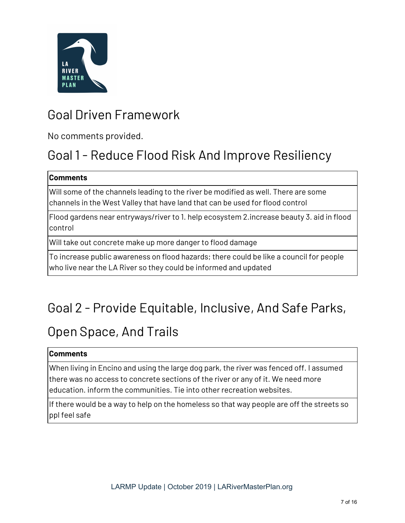

### Goal Driven Framework

No comments provided.

## Goal 1 - Reduce Flood Risk And Improve Resiliency

#### **Comments**

Will some of the channels leading to the river be modified as well. There are some channels in the West Valley that have land that can be used for flood control

Flood gardens near entryways/river to 1. help ecosystem 2.increase beauty 3. aid in flood control

Will take out concrete make up more danger to flood damage

To increase public awareness on flood hazards; there could be like a council for people who live near the LA River so they could be informed and updated

## Goal 2 - Provide Equitable, Inclusive, And Safe Parks,

### Open Space, And Trails

#### **Comments**

When living in Encino and using the large dog park, the river was fenced off. I assumed there was no access to concrete sections of the river or any of it. We need more education. inform the communities. Tie into other recreation websites.

If there would be a way to help on the homeless so that way people are off the streets so ppl feel safe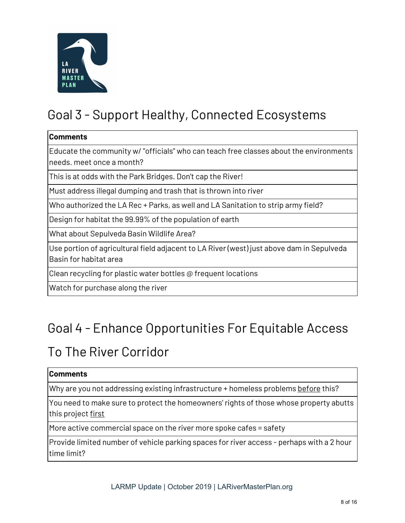

## Goal 3 - Support Healthy, Connected Ecosystems

#### **Comments**

Educate the community w/ "officials" who can teach free classes about the environments needs. meet once a month?

This is at odds with the Park Bridges. Don't cap the River!

Must address illegal dumping and trash that is thrown into river

Who authorized the LA Rec + Parks, as well and LA Sanitation to strip army field?

Design for habitat the 99.99% of the population of earth

What about Sepulveda Basin Wildlife Area?

Use portion of agricultural field adjacent to LA River (west) just above dam in Sepulveda Basin for habitat area

Clean recycling for plastic water bottles @ frequent locations

Watch for purchase along the river

### Goal 4 - Enhance Opportunities For Equitable Access

### To The River Corridor

#### **Comments**

Why are you not addressing existing infrastructure + homeless problems before this?

You need to make sure to protect the homeowners' rights of those whose property abutts this project first

More active commercial space on the river more spoke cafes = safety

Provide limited number of vehicle parking spaces for river access - perhaps with a 2 hour time limit?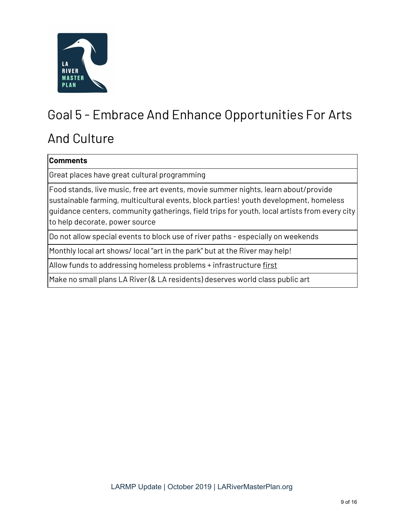

## Goal 5 - Embrace And Enhance Opportunities For Arts

### And Culture

| <b>Comments</b>                                                                                                                                                                                                                                                                                               |
|---------------------------------------------------------------------------------------------------------------------------------------------------------------------------------------------------------------------------------------------------------------------------------------------------------------|
| Great places have great cultural programming                                                                                                                                                                                                                                                                  |
| Food stands, live music, free art events, movie summer nights, learn about/provide<br>sustainable farming, multicultural events, block parties! youth development, homeless<br>guidance centers, community gatherings, field trips for youth, local artists from every city<br>to help decorate, power source |
| Do not allow special events to block use of river paths - especially on weekends                                                                                                                                                                                                                              |
| Monthly local art shows/ local "art in the park" but at the River may help!                                                                                                                                                                                                                                   |
| Allow funds to addressing homeless problems + infrastructure <u>first</u>                                                                                                                                                                                                                                     |

Make no small plans LA River (& LA residents) deserves world class public art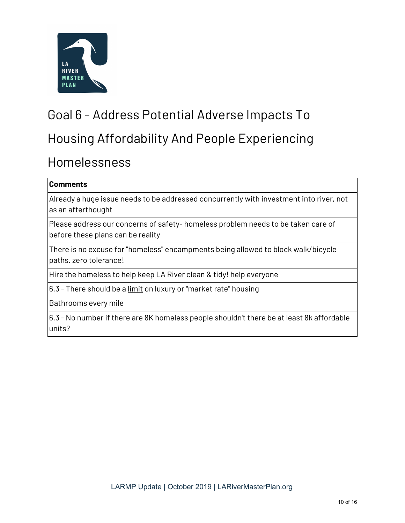

## Goal 6 - Address Potential Adverse Impacts To

### Housing Affordability And People Experiencing

#### Homelessness

#### **Comments**

Already a huge issue needs to be addressed concurrently with investment into river, not as an afterthought

Please address our concerns of safety- homeless problem needs to be taken care of before these plans can be reality

There is no excuse for "homeless" encampments being allowed to block walk/bicycle paths. zero tolerance!

Hire the homeless to help keep LA River clean & tidy! help everyone

6.3 - There should be a limit on luxury or "market rate" housing

Bathrooms every mile

6.3 - No number if there are 8K homeless people shouldn't there be at least 8k affordable units?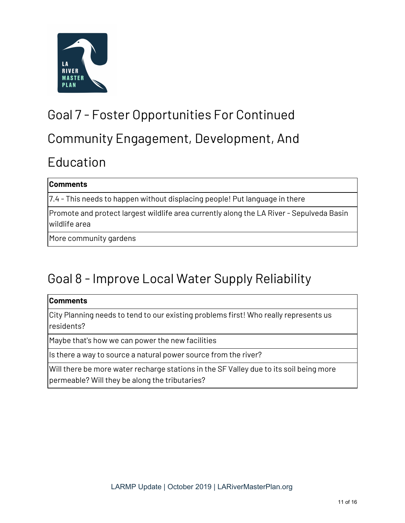

### Goal 7 - Foster Opportunities For Continued

### Community Engagement, Development, And

### Education

#### **Comments**

7.4 - This needs to happen without displacing people! Put language in there

Promote and protect largest wildlife area currently along the LA River - Sepulveda Basin wildlife area

More community gardens

### Goal 8 - Improve Local Water Supply Reliability

#### **Comments**

City Planning needs to tend to our existing problems first! Who really represents us residents?

Maybe that's how we can power the new facilities

Is there a way to source a natural power source from the river?

Will there be more water recharge stations in the SF Valley due to its soil being more permeable? Will they be along the tributaries?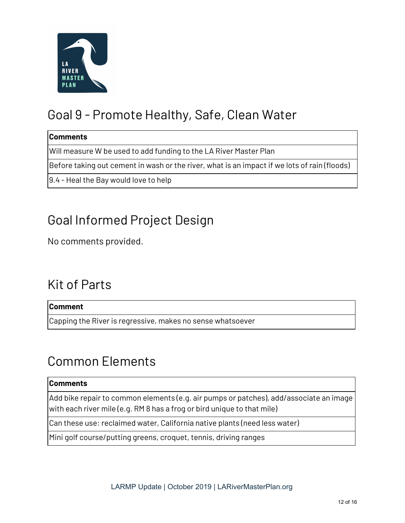

### Goal 9 - Promote Healthy, Safe, Clean Water

#### **Comments**

Will measure W be used to add funding to the LA River Master Plan

Before taking out cement in wash or the river, what is an impact if we lots of rain (floods)

9.4 - Heal the Bay would love to help

### Goal Informed Project Design

No comments provided.

### Kit of Parts

#### **Comment**

Capping the River is regressive, makes no sense whatsoever

### Common Elements

#### **Comments**

Add bike repair to common elements (e.g. air pumps or patches), add/associate an image with each river mile (e.g. RM 8 has a frog or bird unique to that mile)

Can these use: reclaimed water, California native plants (need less water)

Mini golf course/putting greens, croquet, tennis, driving ranges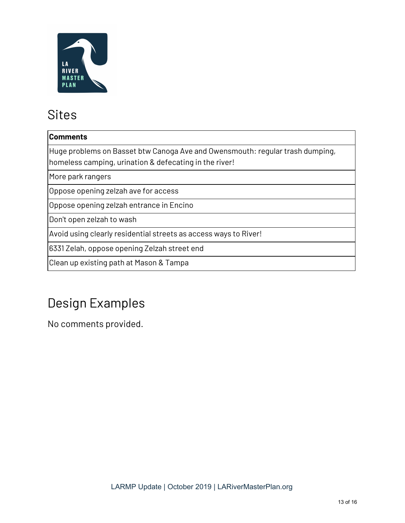

### Sites

#### **Comments**

Huge problems on Basset btw Canoga Ave and Owensmouth: regular trash dumping, homeless camping, urination & defecating in the river!

More park rangers

Oppose opening zelzah ave for access

Oppose opening zelzah entrance in Encino

Don't open zelzah to wash

Avoid using clearly residential streets as access ways to River!

6331 Zelah, oppose opening Zelzah street end

Clean up existing path at Mason & Tampa

## Design Examples

No comments provided.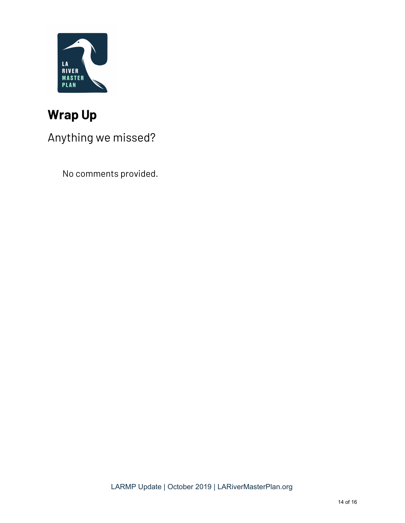

### **Wrap Up**

### Anything we missed?

No comments provided.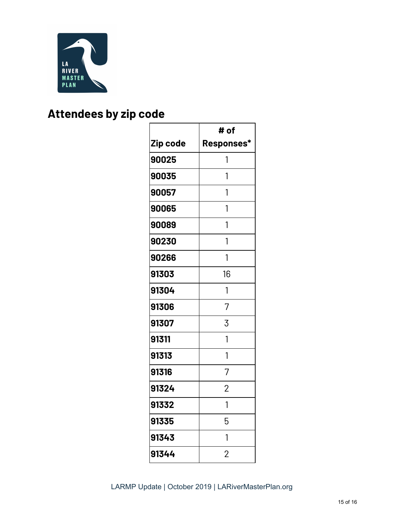

### **Attendees by zip code**

|          | # of           |
|----------|----------------|
| Zip code | Responses*     |
| 90025    | 1              |
| 90035    | 1              |
| 90057    | 1              |
| 90065    | 1              |
| 90089    | 1              |
| 90230    | 1              |
| 90266    | 1              |
| 91303    | 16             |
| 91304    | 1              |
| 91306    | 7              |
| 91307    | 3              |
| 91311    | 1              |
| 91313    | 1              |
| 91316    | 7              |
| 91324    | $\overline{2}$ |
| 91332    | 1              |
| 91335    | 5              |
| 91343    | 1              |
| 91344    | $\overline{2}$ |